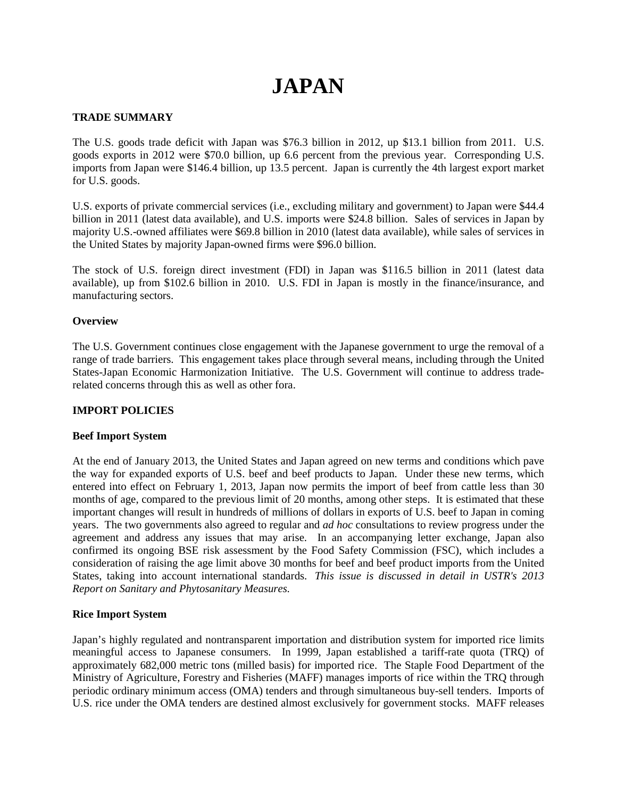# **JAPAN**

## **TRADE SUMMARY**

The U.S. goods trade deficit with Japan was \$76.3 billion in 2012, up \$13.1 billion from 2011. U.S. goods exports in 2012 were \$70.0 billion, up 6.6 percent from the previous year. Corresponding U.S. imports from Japan were \$146.4 billion, up 13.5 percent. Japan is currently the 4th largest export market for U.S. goods.

U.S. exports of private commercial services (i.e., excluding military and government) to Japan were \$44.4 billion in 2011 (latest data available), and U.S. imports were \$24.8 billion. Sales of services in Japan by majority U.S.-owned affiliates were \$69.8 billion in 2010 (latest data available), while sales of services in the United States by majority Japan-owned firms were \$96.0 billion.

The stock of U.S. foreign direct investment (FDI) in Japan was \$116.5 billion in 2011 (latest data available), up from \$102.6 billion in 2010. U.S. FDI in Japan is mostly in the finance/insurance, and manufacturing sectors.

## **Overview**

The U.S. Government continues close engagement with the Japanese government to urge the removal of a range of trade barriers. This engagement takes place through several means, including through the United States-Japan Economic Harmonization Initiative. The U.S. Government will continue to address traderelated concerns through this as well as other fora.

# **IMPORT POLICIES**

## **Beef Import System**

At the end of January 2013, the United States and Japan agreed on new terms and conditions which pave the way for expanded exports of U.S. beef and beef products to Japan. Under these new terms, which entered into effect on February 1, 2013, Japan now permits the import of beef from cattle less than 30 months of age, compared to the previous limit of 20 months, among other steps. It is estimated that these important changes will result in hundreds of millions of dollars in exports of U.S. beef to Japan in coming years. The two governments also agreed to regular and *ad hoc* consultations to review progress under the agreement and address any issues that may arise. In an accompanying letter exchange, Japan also confirmed its ongoing BSE risk assessment by the Food Safety Commission (FSC), which includes a consideration of raising the age limit above 30 months for beef and beef product imports from the United States, taking into account international standards. *This issue is discussed in detail in USTR's 2013 Report on Sanitary and Phytosanitary Measures.*

## **Rice Import System**

Japan's highly regulated and nontransparent importation and distribution system for imported rice limits meaningful access to Japanese consumers. In 1999, Japan established a tariff-rate quota (TRQ) of approximately 682,000 metric tons (milled basis) for imported rice. The Staple Food Department of the Ministry of Agriculture, Forestry and Fisheries (MAFF) manages imports of rice within the TRQ through periodic ordinary minimum access (OMA) tenders and through simultaneous buy-sell tenders. Imports of U.S. rice under the OMA tenders are destined almost exclusively for government stocks. MAFF releases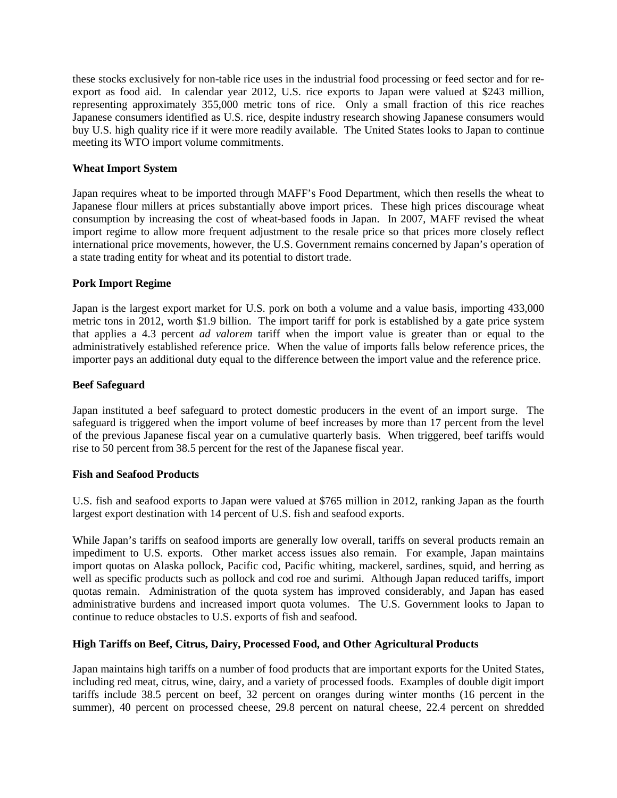these stocks exclusively for non-table rice uses in the industrial food processing or feed sector and for reexport as food aid. In calendar year 2012, U.S. rice exports to Japan were valued at \$243 million, representing approximately 355,000 metric tons of rice. Only a small fraction of this rice reaches Japanese consumers identified as U.S. rice, despite industry research showing Japanese consumers would buy U.S. high quality rice if it were more readily available. The United States looks to Japan to continue meeting its WTO import volume commitments.

## **Wheat Import System**

Japan requires wheat to be imported through MAFF's Food Department, which then resells the wheat to Japanese flour millers at prices substantially above import prices. These high prices discourage wheat consumption by increasing the cost of wheat-based foods in Japan. In 2007, MAFF revised the wheat import regime to allow more frequent adjustment to the resale price so that prices more closely reflect international price movements, however, the U.S. Government remains concerned by Japan's operation of a state trading entity for wheat and its potential to distort trade.

# **Pork Import Regime**

Japan is the largest export market for U.S. pork on both a volume and a value basis, importing 433,000 metric tons in 2012, worth \$1.9 billion. The import tariff for pork is established by a gate price system that applies a 4.3 percent *ad valorem* tariff when the import value is greater than or equal to the administratively established reference price. When the value of imports falls below reference prices, the importer pays an additional duty equal to the difference between the import value and the reference price.

# **Beef Safeguard**

Japan instituted a beef safeguard to protect domestic producers in the event of an import surge. The safeguard is triggered when the import volume of beef increases by more than 17 percent from the level of the previous Japanese fiscal year on a cumulative quarterly basis. When triggered, beef tariffs would rise to 50 percent from 38.5 percent for the rest of the Japanese fiscal year.

## **Fish and Seafood Products**

U.S. fish and seafood exports to Japan were valued at \$765 million in 2012, ranking Japan as the fourth largest export destination with 14 percent of U.S. fish and seafood exports.

While Japan's tariffs on seafood imports are generally low overall, tariffs on several products remain an impediment to U.S. exports. Other market access issues also remain. For example, Japan maintains import quotas on Alaska pollock, Pacific cod, Pacific whiting, mackerel, sardines, squid, and herring as well as specific products such as pollock and cod roe and surimi. Although Japan reduced tariffs, import quotas remain. Administration of the quota system has improved considerably, and Japan has eased administrative burdens and increased import quota volumes. The U.S. Government looks to Japan to continue to reduce obstacles to U.S. exports of fish and seafood.

## **High Tariffs on Beef, Citrus, Dairy, Processed Food, and Other Agricultural Products**

Japan maintains high tariffs on a number of food products that are important exports for the United States, including red meat, citrus, wine, dairy, and a variety of processed foods. Examples of double digit import tariffs include 38.5 percent on beef, 32 percent on oranges during winter months (16 percent in the summer), 40 percent on processed cheese, 29.8 percent on natural cheese, 22.4 percent on shredded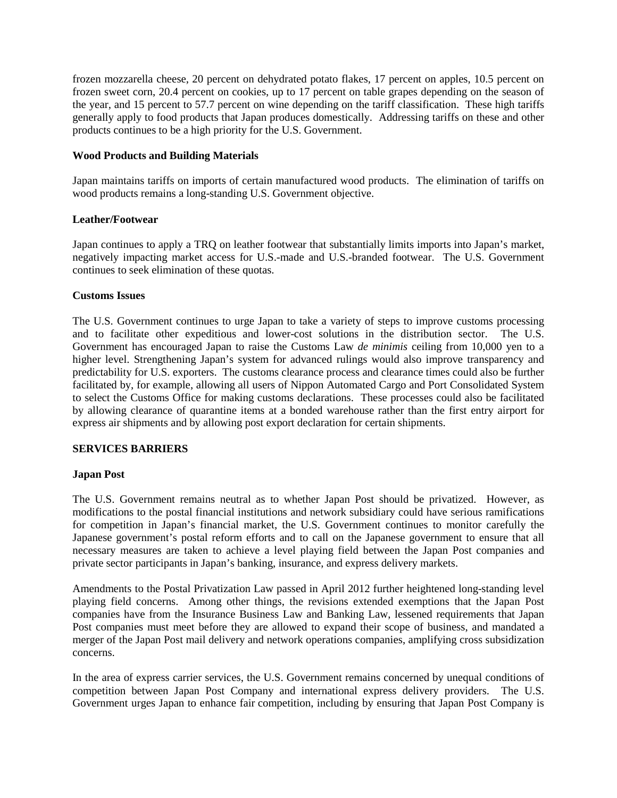frozen mozzarella cheese, 20 percent on dehydrated potato flakes, 17 percent on apples, 10.5 percent on frozen sweet corn, 20.4 percent on cookies, up to 17 percent on table grapes depending on the season of the year, and 15 percent to 57.7 percent on wine depending on the tariff classification. These high tariffs generally apply to food products that Japan produces domestically. Addressing tariffs on these and other products continues to be a high priority for the U.S. Government.

## **Wood Products and Building Materials**

Japan maintains tariffs on imports of certain manufactured wood products. The elimination of tariffs on wood products remains a long-standing U.S. Government objective.

# **Leather/Footwear**

Japan continues to apply a TRQ on leather footwear that substantially limits imports into Japan's market, negatively impacting market access for U.S.-made and U.S.-branded footwear. The U.S. Government continues to seek elimination of these quotas.

# **Customs Issues**

The U.S. Government continues to urge Japan to take a variety of steps to improve customs processing and to facilitate other expeditious and lower-cost solutions in the distribution sector. The U.S. Government has encouraged Japan to raise the Customs Law *de minimis* ceiling from 10,000 yen to a higher level. Strengthening Japan's system for advanced rulings would also improve transparency and predictability for U.S. exporters. The customs clearance process and clearance times could also be further facilitated by, for example, allowing all users of Nippon Automated Cargo and Port Consolidated System to select the Customs Office for making customs declarations. These processes could also be facilitated by allowing clearance of quarantine items at a bonded warehouse rather than the first entry airport for express air shipments and by allowing post export declaration for certain shipments.

# **SERVICES BARRIERS**

# **Japan Post**

The U.S. Government remains neutral as to whether Japan Post should be privatized. However, as modifications to the postal financial institutions and network subsidiary could have serious ramifications for competition in Japan's financial market, the U.S. Government continues to monitor carefully the Japanese government's postal reform efforts and to call on the Japanese government to ensure that all necessary measures are taken to achieve a level playing field between the Japan Post companies and private sector participants in Japan's banking, insurance, and express delivery markets.

Amendments to the Postal Privatization Law passed in April 2012 further heightened long-standing level playing field concerns. Among other things, the revisions extended exemptions that the Japan Post companies have from the Insurance Business Law and Banking Law, lessened requirements that Japan Post companies must meet before they are allowed to expand their scope of business, and mandated a merger of the Japan Post mail delivery and network operations companies, amplifying cross subsidization concerns.

In the area of express carrier services, the U.S. Government remains concerned by unequal conditions of competition between Japan Post Company and international express delivery providers. The U.S. Government urges Japan to enhance fair competition, including by ensuring that Japan Post Company is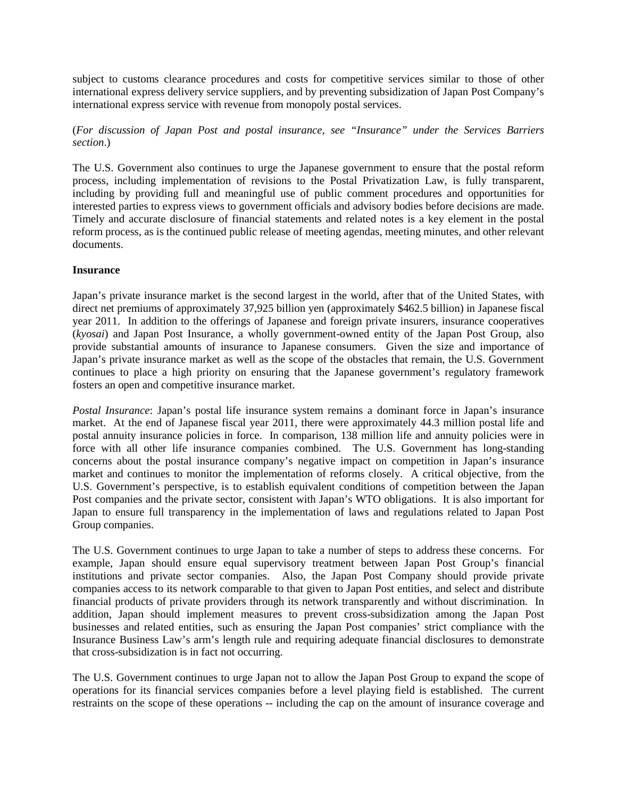subject to customs clearance procedures and costs for competitive services similar to those of other international express delivery service suppliers, and by preventing subsidization of Japan Post Company's international express service with revenue from monopoly postal services.

# (*For discussion of Japan Post and postal insurance, see "Insurance" under the Services Barriers section*.)

The U.S. Government also continues to urge the Japanese government to ensure that the postal reform process, including implementation of revisions to the Postal Privatization Law, is fully transparent, including by providing full and meaningful use of public comment procedures and opportunities for interested parties to express views to government officials and advisory bodies before decisions are made. Timely and accurate disclosure of financial statements and related notes is a key element in the postal reform process, as is the continued public release of meeting agendas, meeting minutes, and other relevant documents.

## **Insurance**

Japan's private insurance market is the second largest in the world, after that of the United States, with direct net premiums of approximately 37,925 billion yen (approximately \$462.5 billion) in Japanese fiscal year 2011. In addition to the offerings of Japanese and foreign private insurers, insurance cooperatives (*kyosai*) and Japan Post Insurance, a wholly government-owned entity of the Japan Post Group, also provide substantial amounts of insurance to Japanese consumers. Given the size and importance of Japan's private insurance market as well as the scope of the obstacles that remain, the U.S. Government continues to place a high priority on ensuring that the Japanese government's regulatory framework fosters an open and competitive insurance market.

*Postal Insurance*: Japan's postal life insurance system remains a dominant force in Japan's insurance market. At the end of Japanese fiscal year 2011, there were approximately 44.3 million postal life and postal annuity insurance policies in force. In comparison, 138 million life and annuity policies were in force with all other life insurance companies combined. The U.S. Government has long-standing concerns about the postal insurance company's negative impact on competition in Japan's insurance market and continues to monitor the implementation of reforms closely. A critical objective, from the U.S. Government's perspective, is to establish equivalent conditions of competition between the Japan Post companies and the private sector, consistent with Japan's WTO obligations. It is also important for Japan to ensure full transparency in the implementation of laws and regulations related to Japan Post Group companies.

The U.S. Government continues to urge Japan to take a number of steps to address these concerns. For example, Japan should ensure equal supervisory treatment between Japan Post Group's financial institutions and private sector companies. Also, the Japan Post Company should provide private companies access to its network comparable to that given to Japan Post entities, and select and distribute financial products of private providers through its network transparently and without discrimination. In addition, Japan should implement measures to prevent cross-subsidization among the Japan Post businesses and related entities, such as ensuring the Japan Post companies' strict compliance with the Insurance Business Law's arm's length rule and requiring adequate financial disclosures to demonstrate that cross-subsidization is in fact not occurring.

The U.S. Government continues to urge Japan not to allow the Japan Post Group to expand the scope of operations for its financial services companies before a level playing field is established. The current restraints on the scope of these operations -- including the cap on the amount of insurance coverage and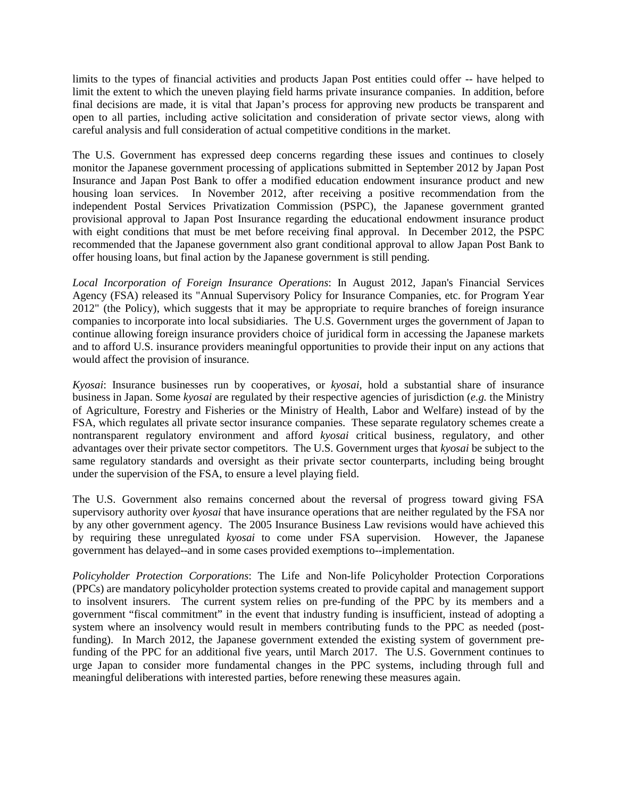limits to the types of financial activities and products Japan Post entities could offer -- have helped to limit the extent to which the uneven playing field harms private insurance companies. In addition, before final decisions are made, it is vital that Japan's process for approving new products be transparent and open to all parties, including active solicitation and consideration of private sector views, along with careful analysis and full consideration of actual competitive conditions in the market.

The U.S. Government has expressed deep concerns regarding these issues and continues to closely monitor the Japanese government processing of applications submitted in September 2012 by Japan Post Insurance and Japan Post Bank to offer a modified education endowment insurance product and new housing loan services. In November 2012, after receiving a positive recommendation from the independent Postal Services Privatization Commission (PSPC), the Japanese government granted provisional approval to Japan Post Insurance regarding the educational endowment insurance product with eight conditions that must be met before receiving final approval. In December 2012, the PSPC recommended that the Japanese government also grant conditional approval to allow Japan Post Bank to offer housing loans, but final action by the Japanese government is still pending.

*Local Incorporation of Foreign Insurance Operations*: In August 2012, Japan's Financial Services Agency (FSA) released its "Annual Supervisory Policy for Insurance Companies, etc. for Program Year 2012" (the Policy), which suggests that it may be appropriate to require branches of foreign insurance companies to incorporate into local subsidiaries. The U.S. Government urges the government of Japan to continue allowing foreign insurance providers choice of juridical form in accessing the Japanese markets and to afford U.S. insurance providers meaningful opportunities to provide their input on any actions that would affect the provision of insurance.

*Kyosai*: Insurance businesses run by cooperatives, or *kyosai*, hold a substantial share of insurance business in Japan. Some *kyosai* are regulated by their respective agencies of jurisdiction (*e.g.* the Ministry of Agriculture, Forestry and Fisheries or the Ministry of Health, Labor and Welfare) instead of by the FSA, which regulates all private sector insurance companies. These separate regulatory schemes create a nontransparent regulatory environment and afford *kyosai* critical business, regulatory, and other advantages over their private sector competitors. The U.S. Government urges that *kyosai* be subject to the same regulatory standards and oversight as their private sector counterparts, including being brought under the supervision of the FSA, to ensure a level playing field.

The U.S. Government also remains concerned about the reversal of progress toward giving FSA supervisory authority over *kyosai* that have insurance operations that are neither regulated by the FSA nor by any other government agency. The 2005 Insurance Business Law revisions would have achieved this by requiring these unregulated *kyosai* to come under FSA supervision. However, the Japanese government has delayed--and in some cases provided exemptions to--implementation.

*Policyholder Protection Corporations*: The Life and Non-life Policyholder Protection Corporations (PPCs) are mandatory policyholder protection systems created to provide capital and management support to insolvent insurers. The current system relies on pre-funding of the PPC by its members and a government "fiscal commitment" in the event that industry funding is insufficient, instead of adopting a system where an insolvency would result in members contributing funds to the PPC as needed (postfunding). In March 2012, the Japanese government extended the existing system of government prefunding of the PPC for an additional five years, until March 2017. The U.S. Government continues to urge Japan to consider more fundamental changes in the PPC systems, including through full and meaningful deliberations with interested parties, before renewing these measures again.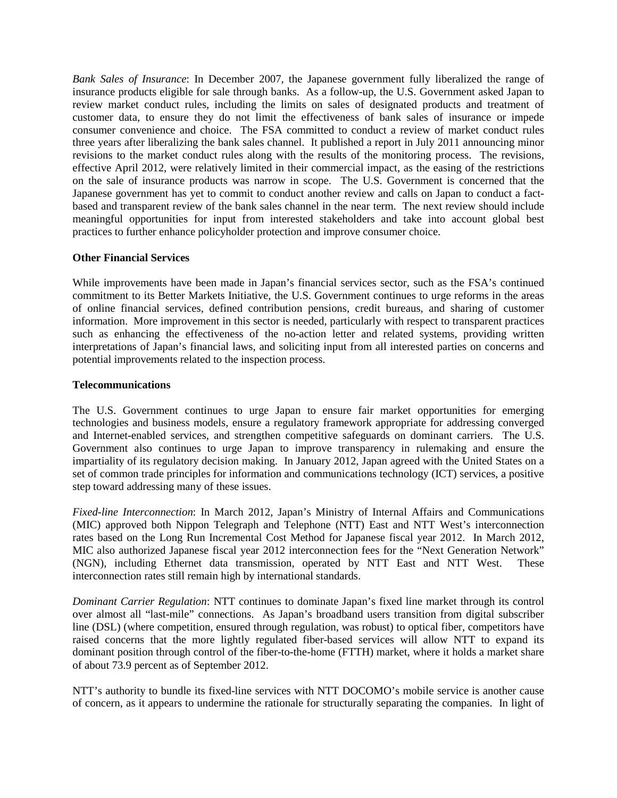*Bank Sales of Insurance*: In December 2007, the Japanese government fully liberalized the range of insurance products eligible for sale through banks. As a follow-up, the U.S. Government asked Japan to review market conduct rules, including the limits on sales of designated products and treatment of customer data, to ensure they do not limit the effectiveness of bank sales of insurance or impede consumer convenience and choice. The FSA committed to conduct a review of market conduct rules three years after liberalizing the bank sales channel. It published a report in July 2011 announcing minor revisions to the market conduct rules along with the results of the monitoring process. The revisions, effective April 2012, were relatively limited in their commercial impact, as the easing of the restrictions on the sale of insurance products was narrow in scope. The U.S. Government is concerned that the Japanese government has yet to commit to conduct another review and calls on Japan to conduct a factbased and transparent review of the bank sales channel in the near term. The next review should include meaningful opportunities for input from interested stakeholders and take into account global best practices to further enhance policyholder protection and improve consumer choice.

## **Other Financial Services**

While improvements have been made in Japan's financial services sector, such as the FSA's continued commitment to its Better Markets Initiative, the U.S. Government continues to urge reforms in the areas of online financial services, defined contribution pensions, credit bureaus, and sharing of customer information. More improvement in this sector is needed, particularly with respect to transparent practices such as enhancing the effectiveness of the no-action letter and related systems, providing written interpretations of Japan's financial laws, and soliciting input from all interested parties on concerns and potential improvements related to the inspection process.

## **Telecommunications**

The U.S. Government continues to urge Japan to ensure fair market opportunities for emerging technologies and business models, ensure a regulatory framework appropriate for addressing converged and Internet-enabled services, and strengthen competitive safeguards on dominant carriers. The U.S. Government also continues to urge Japan to improve transparency in rulemaking and ensure the impartiality of its regulatory decision making. In January 2012, Japan agreed with the United States on a set of common trade principles for information and communications technology (ICT) services, a positive step toward addressing many of these issues.

*Fixed-line Interconnection*: In March 2012, Japan's Ministry of Internal Affairs and Communications (MIC) approved both Nippon Telegraph and Telephone (NTT) East and NTT West's interconnection rates based on the Long Run Incremental Cost Method for Japanese fiscal year 2012. In March 2012, MIC also authorized Japanese fiscal year 2012 interconnection fees for the "Next Generation Network" (NGN), including Ethernet data transmission, operated by NTT East and NTT West. These interconnection rates still remain high by international standards.

*Dominant Carrier Regulation*: NTT continues to dominate Japan's fixed line market through its control over almost all "last-mile" connections. As Japan's broadband users transition from digital subscriber line (DSL) (where competition, ensured through regulation, was robust) to optical fiber, competitors have raised concerns that the more lightly regulated fiber-based services will allow NTT to expand its dominant position through control of the fiber-to-the-home (FTTH) market, where it holds a market share of about 73.9 percent as of September 2012.

NTT's authority to bundle its fixed-line services with NTT DOCOMO's mobile service is another cause of concern, as it appears to undermine the rationale for structurally separating the companies. In light of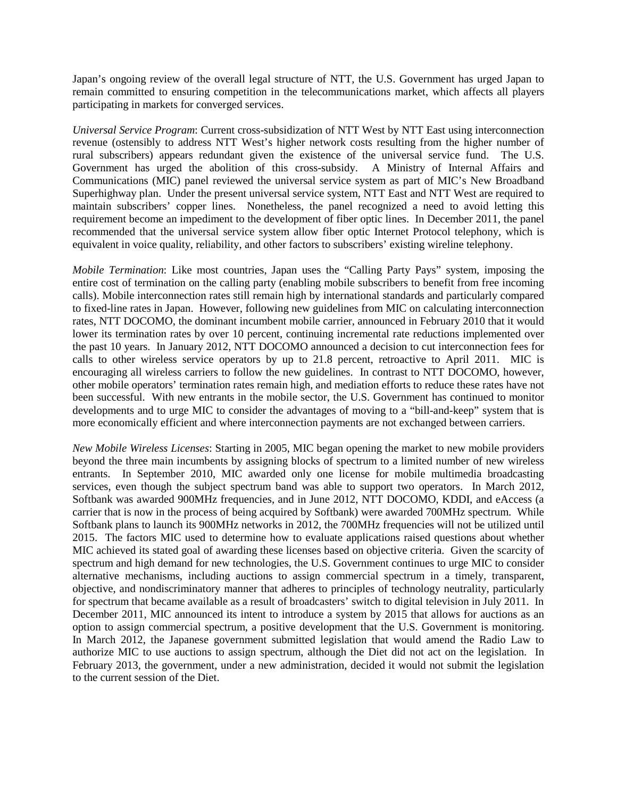Japan's ongoing review of the overall legal structure of NTT, the U.S. Government has urged Japan to remain committed to ensuring competition in the telecommunications market, which affects all players participating in markets for converged services.

*Universal Service Program*: Current cross-subsidization of NTT West by NTT East using interconnection revenue (ostensibly to address NTT West's higher network costs resulting from the higher number of rural subscribers) appears redundant given the existence of the universal service fund. The U.S. Government has urged the abolition of this cross-subsidy. A Ministry of Internal Affairs and Communications (MIC) panel reviewed the universal service system as part of MIC's New Broadband Superhighway plan. Under the present universal service system, NTT East and NTT West are required to maintain subscribers' copper lines. Nonetheless, the panel recognized a need to avoid letting this requirement become an impediment to the development of fiber optic lines. In December 2011, the panel recommended that the universal service system allow fiber optic Internet Protocol telephony, which is equivalent in voice quality, reliability, and other factors to subscribers' existing wireline telephony.

*Mobile Termination*: Like most countries, Japan uses the "Calling Party Pays" system, imposing the entire cost of termination on the calling party (enabling mobile subscribers to benefit from free incoming calls). Mobile interconnection rates still remain high by international standards and particularly compared to fixed-line rates in Japan. However, following new guidelines from MIC on calculating interconnection rates, NTT DOCOMO, the dominant incumbent mobile carrier, announced in February 2010 that it would lower its termination rates by over 10 percent, continuing incremental rate reductions implemented over the past 10 years. In January 2012, NTT DOCOMO announced a decision to cut interconnection fees for calls to other wireless service operators by up to 21.8 percent, retroactive to April 2011. MIC is encouraging all wireless carriers to follow the new guidelines. In contrast to NTT DOCOMO, however, other mobile operators' termination rates remain high, and mediation efforts to reduce these rates have not been successful. With new entrants in the mobile sector, the U.S. Government has continued to monitor developments and to urge MIC to consider the advantages of moving to a "bill-and-keep" system that is more economically efficient and where interconnection payments are not exchanged between carriers.

*New Mobile Wireless Licenses*: Starting in 2005, MIC began opening the market to new mobile providers beyond the three main incumbents by assigning blocks of spectrum to a limited number of new wireless entrants. In September 2010, MIC awarded only one license for mobile multimedia broadcasting services, even though the subject spectrum band was able to support two operators. In March 2012, Softbank was awarded 900MHz frequencies, and in June 2012, NTT DOCOMO, KDDI, and eAccess (a carrier that is now in the process of being acquired by Softbank) were awarded 700MHz spectrum. While Softbank plans to launch its 900MHz networks in 2012, the 700MHz frequencies will not be utilized until 2015. The factors MIC used to determine how to evaluate applications raised questions about whether MIC achieved its stated goal of awarding these licenses based on objective criteria. Given the scarcity of spectrum and high demand for new technologies, the U.S. Government continues to urge MIC to consider alternative mechanisms, including auctions to assign commercial spectrum in a timely, transparent, objective, and nondiscriminatory manner that adheres to principles of technology neutrality, particularly for spectrum that became available as a result of broadcasters' switch to digital television in July 2011. In December 2011, MIC announced its intent to introduce a system by 2015 that allows for auctions as an option to assign commercial spectrum, a positive development that the U.S. Government is monitoring. In March 2012, the Japanese government submitted legislation that would amend the Radio Law to authorize MIC to use auctions to assign spectrum, although the Diet did not act on the legislation. In February 2013, the government, under a new administration, decided it would not submit the legislation to the current session of the Diet.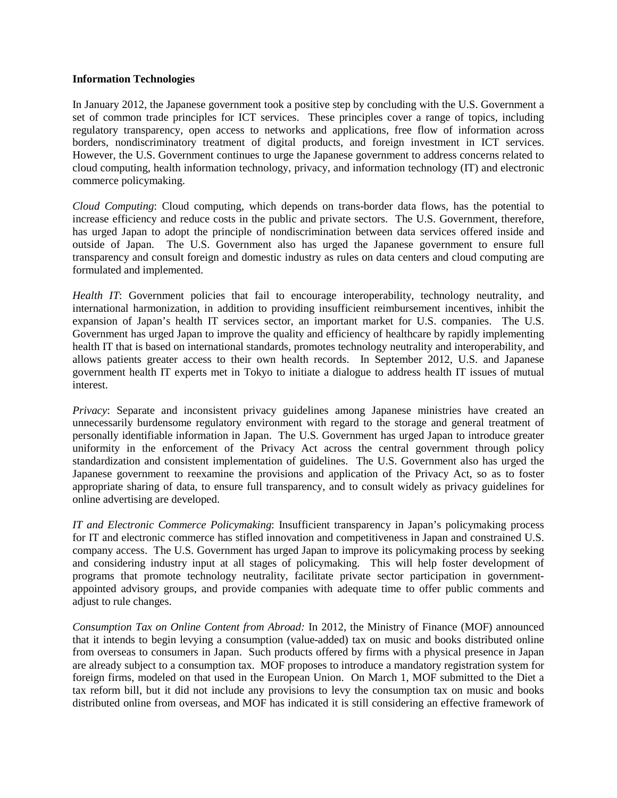#### **Information Technologies**

In January 2012, the Japanese government took a positive step by concluding with the U.S. Government a set of common trade principles for ICT services. These principles cover a range of topics, including regulatory transparency, open access to networks and applications, free flow of information across borders, nondiscriminatory treatment of digital products, and foreign investment in ICT services. However, the U.S. Government continues to urge the Japanese government to address concerns related to cloud computing, health information technology, privacy, and information technology (IT) and electronic commerce policymaking.

*Cloud Computing*: Cloud computing, which depends on trans-border data flows, has the potential to increase efficiency and reduce costs in the public and private sectors. The U.S. Government, therefore, has urged Japan to adopt the principle of nondiscrimination between data services offered inside and outside of Japan. The U.S. Government also has urged the Japanese government to ensure full transparency and consult foreign and domestic industry as rules on data centers and cloud computing are formulated and implemented.

*Health IT*: Government policies that fail to encourage interoperability, technology neutrality, and international harmonization, in addition to providing insufficient reimbursement incentives, inhibit the expansion of Japan's health IT services sector, an important market for U.S. companies. The U.S. Government has urged Japan to improve the quality and efficiency of healthcare by rapidly implementing health IT that is based on international standards, promotes technology neutrality and interoperability, and allows patients greater access to their own health records. In September 2012, U.S. and Japanese government health IT experts met in Tokyo to initiate a dialogue to address health IT issues of mutual interest.

*Privacy*: Separate and inconsistent privacy guidelines among Japanese ministries have created an unnecessarily burdensome regulatory environment with regard to the storage and general treatment of personally identifiable information in Japan. The U.S. Government has urged Japan to introduce greater uniformity in the enforcement of the Privacy Act across the central government through policy standardization and consistent implementation of guidelines. The U.S. Government also has urged the Japanese government to reexamine the provisions and application of the Privacy Act, so as to foster appropriate sharing of data, to ensure full transparency, and to consult widely as privacy guidelines for online advertising are developed.

*IT and Electronic Commerce Policymaking*: Insufficient transparency in Japan's policymaking process for IT and electronic commerce has stifled innovation and competitiveness in Japan and constrained U.S. company access. The U.S. Government has urged Japan to improve its policymaking process by seeking and considering industry input at all stages of policymaking. This will help foster development of programs that promote technology neutrality, facilitate private sector participation in governmentappointed advisory groups, and provide companies with adequate time to offer public comments and adjust to rule changes.

*Consumption Tax on Online Content from Abroad:* In 2012, the Ministry of Finance (MOF) announced that it intends to begin levying a consumption (value-added) tax on music and books distributed online from overseas to consumers in Japan. Such products offered by firms with a physical presence in Japan are already subject to a consumption tax. MOF proposes to introduce a mandatory registration system for foreign firms, modeled on that used in the European Union. On March 1, MOF submitted to the Diet a tax reform bill, but it did not include any provisions to levy the consumption tax on music and books distributed online from overseas, and MOF has indicated it is still considering an effective framework of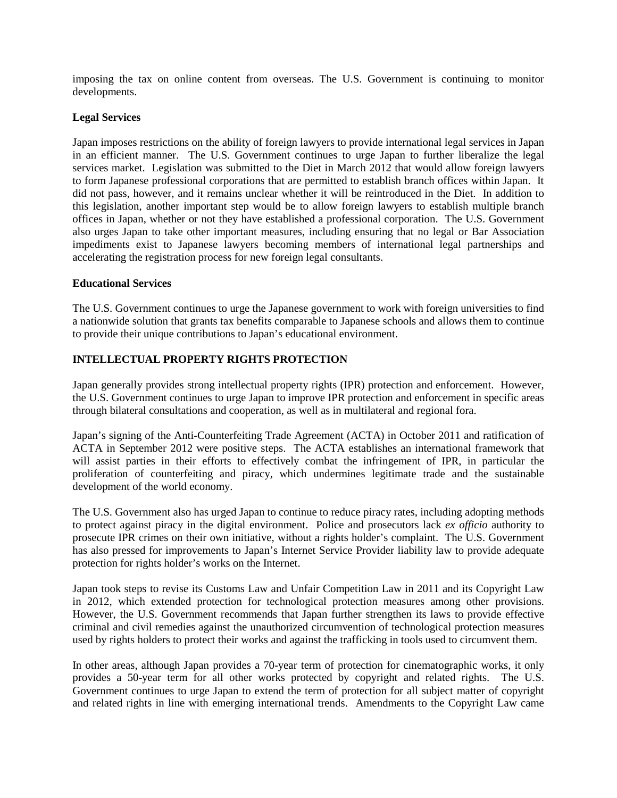imposing the tax on online content from overseas. The U.S. Government is continuing to monitor developments.

## **Legal Services**

Japan imposes restrictions on the ability of foreign lawyers to provide international legal services in Japan in an efficient manner. The U.S. Government continues to urge Japan to further liberalize the legal services market. Legislation was submitted to the Diet in March 2012 that would allow foreign lawyers to form Japanese professional corporations that are permitted to establish branch offices within Japan. It did not pass, however, and it remains unclear whether it will be reintroduced in the Diet. In addition to this legislation, another important step would be to allow foreign lawyers to establish multiple branch offices in Japan, whether or not they have established a professional corporation. The U.S. Government also urges Japan to take other important measures, including ensuring that no legal or Bar Association impediments exist to Japanese lawyers becoming members of international legal partnerships and accelerating the registration process for new foreign legal consultants.

## **Educational Services**

The U.S. Government continues to urge the Japanese government to work with foreign universities to find a nationwide solution that grants tax benefits comparable to Japanese schools and allows them to continue to provide their unique contributions to Japan's educational environment.

# **INTELLECTUAL PROPERTY RIGHTS PROTECTION**

Japan generally provides strong intellectual property rights (IPR) protection and enforcement. However, the U.S. Government continues to urge Japan to improve IPR protection and enforcement in specific areas through bilateral consultations and cooperation, as well as in multilateral and regional fora.

Japan's signing of the Anti-Counterfeiting Trade Agreement (ACTA) in October 2011 and ratification of ACTA in September 2012 were positive steps. The ACTA establishes an international framework that will assist parties in their efforts to effectively combat the infringement of IPR, in particular the proliferation of counterfeiting and piracy, which undermines legitimate trade and the sustainable development of the world economy.

The U.S. Government also has urged Japan to continue to reduce piracy rates, including adopting methods to protect against piracy in the digital environment. Police and prosecutors lack *ex officio* authority to prosecute IPR crimes on their own initiative, without a rights holder's complaint. The U.S. Government has also pressed for improvements to Japan's Internet Service Provider liability law to provide adequate protection for rights holder's works on the Internet.

Japan took steps to revise its Customs Law and Unfair Competition Law in 2011 and its Copyright Law in 2012, which extended protection for technological protection measures among other provisions. However, the U.S. Government recommends that Japan further strengthen its laws to provide effective criminal and civil remedies against the unauthorized circumvention of technological protection measures used by rights holders to protect their works and against the trafficking in tools used to circumvent them.

In other areas, although Japan provides a 70-year term of protection for cinematographic works, it only provides a 50-year term for all other works protected by copyright and related rights. The U.S. Government continues to urge Japan to extend the term of protection for all subject matter of copyright and related rights in line with emerging international trends. Amendments to the Copyright Law came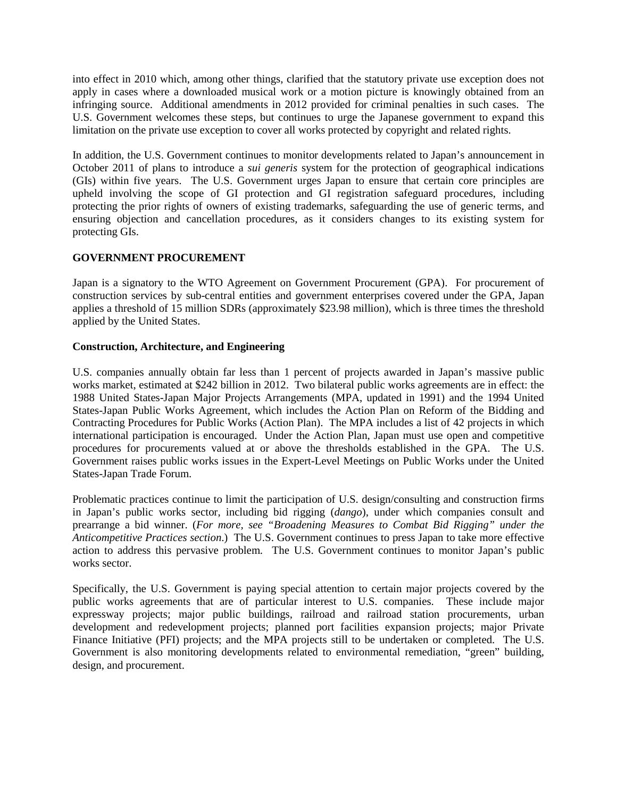into effect in 2010 which, among other things, clarified that the statutory private use exception does not apply in cases where a downloaded musical work or a motion picture is knowingly obtained from an infringing source. Additional amendments in 2012 provided for criminal penalties in such cases. The U.S. Government welcomes these steps, but continues to urge the Japanese government to expand this limitation on the private use exception to cover all works protected by copyright and related rights.

In addition, the U.S. Government continues to monitor developments related to Japan's announcement in October 2011 of plans to introduce a *sui generis* system for the protection of geographical indications (GIs) within five years. The U.S. Government urges Japan to ensure that certain core principles are upheld involving the scope of GI protection and GI registration safeguard procedures, including protecting the prior rights of owners of existing trademarks, safeguarding the use of generic terms, and ensuring objection and cancellation procedures, as it considers changes to its existing system for protecting GIs.

# **GOVERNMENT PROCUREMENT**

Japan is a signatory to the WTO Agreement on Government Procurement (GPA). For procurement of construction services by sub-central entities and government enterprises covered under the GPA, Japan applies a threshold of 15 million SDRs (approximately \$23.98 million), which is three times the threshold applied by the United States.

# **Construction, Architecture, and Engineering**

U.S. companies annually obtain far less than 1 percent of projects awarded in Japan's massive public works market, estimated at \$242 billion in 2012. Two bilateral public works agreements are in effect: the 1988 United States-Japan Major Projects Arrangements (MPA, updated in 1991) and the 1994 United States-Japan Public Works Agreement, which includes the Action Plan on Reform of the Bidding and Contracting Procedures for Public Works (Action Plan). The MPA includes a list of 42 projects in which international participation is encouraged. Under the Action Plan, Japan must use open and competitive procedures for procurements valued at or above the thresholds established in the GPA. The U.S. Government raises public works issues in the Expert-Level Meetings on Public Works under the United States-Japan Trade Forum.

Problematic practices continue to limit the participation of U.S. design/consulting and construction firms in Japan's public works sector, including bid rigging (*dango*), under which companies consult and prearrange a bid winner. (*For more, see "Broadening Measures to Combat Bid Rigging" under the Anticompetitive Practices section*.) The U.S. Government continues to press Japan to take more effective action to address this pervasive problem. The U.S. Government continues to monitor Japan's public works sector.

Specifically, the U.S. Government is paying special attention to certain major projects covered by the public works agreements that are of particular interest to U.S. companies. These include major expressway projects; major public buildings, railroad and railroad station procurements, urban development and redevelopment projects; planned port facilities expansion projects; major Private Finance Initiative (PFI) projects; and the MPA projects still to be undertaken or completed. The U.S. Government is also monitoring developments related to environmental remediation, "green" building, design, and procurement.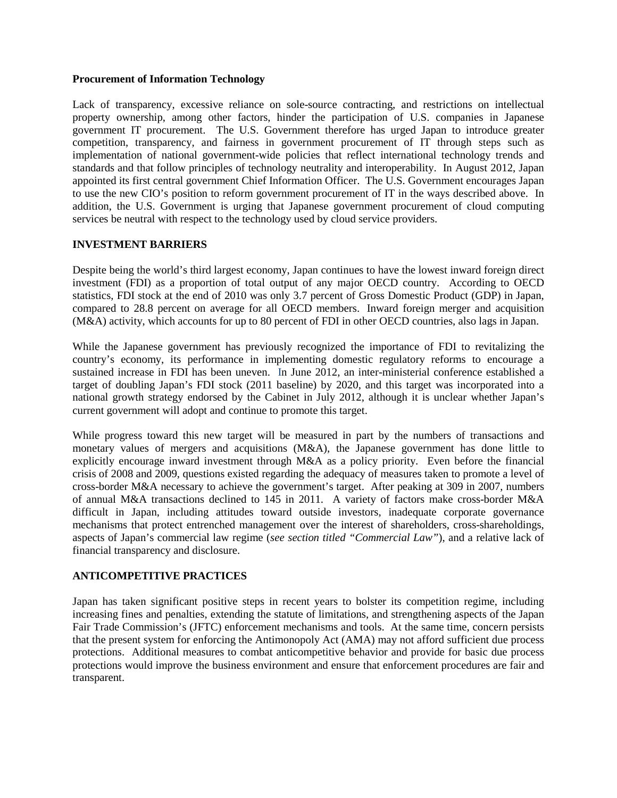#### **Procurement of Information Technology**

Lack of transparency, excessive reliance on sole-source contracting, and restrictions on intellectual property ownership, among other factors, hinder the participation of U.S. companies in Japanese government IT procurement. The U.S. Government therefore has urged Japan to introduce greater competition, transparency, and fairness in government procurement of IT through steps such as implementation of national government-wide policies that reflect international technology trends and standards and that follow principles of technology neutrality and interoperability. In August 2012, Japan appointed its first central government Chief Information Officer. The U.S. Government encourages Japan to use the new CIO's position to reform government procurement of IT in the ways described above. In addition, the U.S. Government is urging that Japanese government procurement of cloud computing services be neutral with respect to the technology used by cloud service providers.

# **INVESTMENT BARRIERS**

Despite being the world's third largest economy, Japan continues to have the lowest inward foreign direct investment (FDI) as a proportion of total output of any major OECD country. According to OECD statistics, FDI stock at the end of 2010 was only 3.7 percent of Gross Domestic Product (GDP) in Japan, compared to 28.8 percent on average for all OECD members. Inward foreign merger and acquisition (M&A) activity, which accounts for up to 80 percent of FDI in other OECD countries, also lags in Japan.

While the Japanese government has previously recognized the importance of FDI to revitalizing the country's economy, its performance in implementing domestic regulatory reforms to encourage a sustained increase in FDI has been uneven. In June 2012, an inter-ministerial conference established a target of doubling Japan's FDI stock (2011 baseline) by 2020, and this target was incorporated into a national growth strategy endorsed by the Cabinet in July 2012, although it is unclear whether Japan's current government will adopt and continue to promote this target.

While progress toward this new target will be measured in part by the numbers of transactions and monetary values of mergers and acquisitions (M&A), the Japanese government has done little to explicitly encourage inward investment through M&A as a policy priority. Even before the financial crisis of 2008 and 2009, questions existed regarding the adequacy of measures taken to promote a level of cross-border M&A necessary to achieve the government's target. After peaking at 309 in 2007, numbers of annual M&A transactions declined to 145 in 2011. A variety of factors make cross-border M&A difficult in Japan, including attitudes toward outside investors, inadequate corporate governance mechanisms that protect entrenched management over the interest of shareholders, cross-shareholdings, aspects of Japan's commercial law regime (*see section titled "Commercial Law"*), and a relative lack of financial transparency and disclosure.

# **ANTICOMPETITIVE PRACTICES**

Japan has taken significant positive steps in recent years to bolster its competition regime, including increasing fines and penalties, extending the statute of limitations, and strengthening aspects of the Japan Fair Trade Commission's (JFTC) enforcement mechanisms and tools. At the same time, concern persists that the present system for enforcing the Antimonopoly Act (AMA) may not afford sufficient due process protections. Additional measures to combat anticompetitive behavior and provide for basic due process protections would improve the business environment and ensure that enforcement procedures are fair and transparent.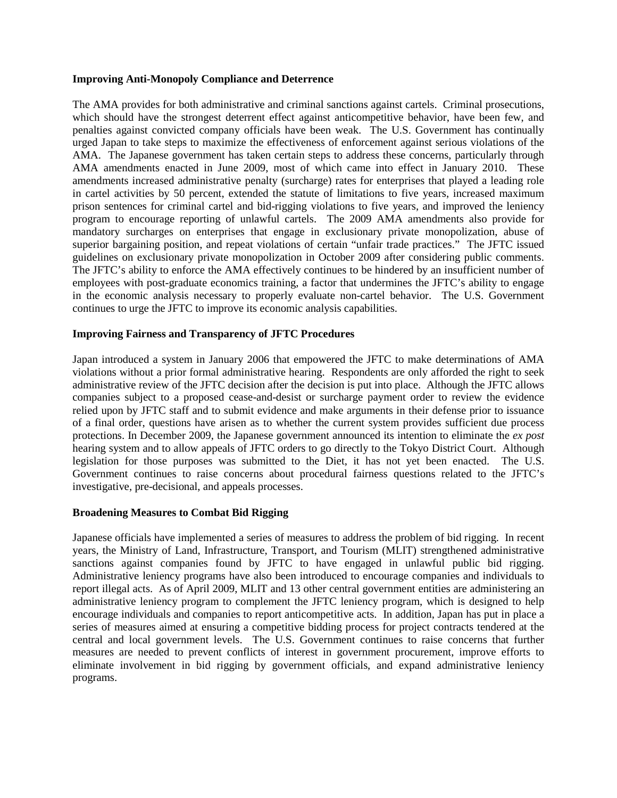#### **Improving Anti-Monopoly Compliance and Deterrence**

The AMA provides for both administrative and criminal sanctions against cartels. Criminal prosecutions, which should have the strongest deterrent effect against anticompetitive behavior, have been few, and penalties against convicted company officials have been weak. The U.S. Government has continually urged Japan to take steps to maximize the effectiveness of enforcement against serious violations of the AMA. The Japanese government has taken certain steps to address these concerns, particularly through AMA amendments enacted in June 2009, most of which came into effect in January 2010. These amendments increased administrative penalty (surcharge) rates for enterprises that played a leading role in cartel activities by 50 percent, extended the statute of limitations to five years, increased maximum prison sentences for criminal cartel and bid-rigging violations to five years, and improved the leniency program to encourage reporting of unlawful cartels. The 2009 AMA amendments also provide for mandatory surcharges on enterprises that engage in exclusionary private monopolization, abuse of superior bargaining position, and repeat violations of certain "unfair trade practices." The JFTC issued guidelines on exclusionary private monopolization in October 2009 after considering public comments. The JFTC's ability to enforce the AMA effectively continues to be hindered by an insufficient number of employees with post-graduate economics training, a factor that undermines the JFTC's ability to engage in the economic analysis necessary to properly evaluate non-cartel behavior. The U.S. Government continues to urge the JFTC to improve its economic analysis capabilities.

## **Improving Fairness and Transparency of JFTC Procedures**

Japan introduced a system in January 2006 that empowered the JFTC to make determinations of AMA violations without a prior formal administrative hearing. Respondents are only afforded the right to seek administrative review of the JFTC decision after the decision is put into place. Although the JFTC allows companies subject to a proposed cease-and-desist or surcharge payment order to review the evidence relied upon by JFTC staff and to submit evidence and make arguments in their defense prior to issuance of a final order, questions have arisen as to whether the current system provides sufficient due process protections. In December 2009, the Japanese government announced its intention to eliminate the *ex post* hearing system and to allow appeals of JFTC orders to go directly to the Tokyo District Court. Although legislation for those purposes was submitted to the Diet, it has not yet been enacted. The U.S. Government continues to raise concerns about procedural fairness questions related to the JFTC's investigative, pre-decisional, and appeals processes.

## **Broadening Measures to Combat Bid Rigging**

Japanese officials have implemented a series of measures to address the problem of bid rigging. In recent years, the Ministry of Land, Infrastructure, Transport, and Tourism (MLIT) strengthened administrative sanctions against companies found by JFTC to have engaged in unlawful public bid rigging. Administrative leniency programs have also been introduced to encourage companies and individuals to report illegal acts. As of April 2009, MLIT and 13 other central government entities are administering an administrative leniency program to complement the JFTC leniency program, which is designed to help encourage individuals and companies to report anticompetitive acts. In addition, Japan has put in place a series of measures aimed at ensuring a competitive bidding process for project contracts tendered at the central and local government levels. The U.S. Government continues to raise concerns that further measures are needed to prevent conflicts of interest in government procurement, improve efforts to eliminate involvement in bid rigging by government officials, and expand administrative leniency programs.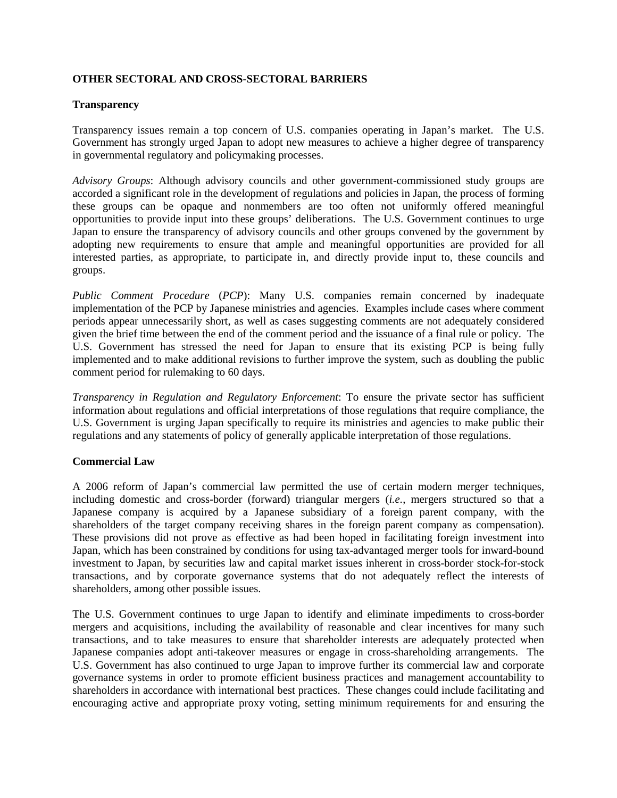## **OTHER SECTORAL AND CROSS-SECTORAL BARRIERS**

## **Transparency**

Transparency issues remain a top concern of U.S. companies operating in Japan's market. The U.S. Government has strongly urged Japan to adopt new measures to achieve a higher degree of transparency in governmental regulatory and policymaking processes.

*Advisory Groups*: Although advisory councils and other government-commissioned study groups are accorded a significant role in the development of regulations and policies in Japan, the process of forming these groups can be opaque and nonmembers are too often not uniformly offered meaningful opportunities to provide input into these groups' deliberations. The U.S. Government continues to urge Japan to ensure the transparency of advisory councils and other groups convened by the government by adopting new requirements to ensure that ample and meaningful opportunities are provided for all interested parties, as appropriate, to participate in, and directly provide input to, these councils and groups.

*Public Comment Procedure* (*PCP*): Many U.S. companies remain concerned by inadequate implementation of the PCP by Japanese ministries and agencies. Examples include cases where comment periods appear unnecessarily short, as well as cases suggesting comments are not adequately considered given the brief time between the end of the comment period and the issuance of a final rule or policy. The U.S. Government has stressed the need for Japan to ensure that its existing PCP is being fully implemented and to make additional revisions to further improve the system, such as doubling the public comment period for rulemaking to 60 days.

*Transparency in Regulation and Regulatory Enforcement*: To ensure the private sector has sufficient information about regulations and official interpretations of those regulations that require compliance, the U.S. Government is urging Japan specifically to require its ministries and agencies to make public their regulations and any statements of policy of generally applicable interpretation of those regulations.

## **Commercial Law**

A 2006 reform of Japan's commercial law permitted the use of certain modern merger techniques, including domestic and cross-border (forward) triangular mergers (*i.e.*, mergers structured so that a Japanese company is acquired by a Japanese subsidiary of a foreign parent company, with the shareholders of the target company receiving shares in the foreign parent company as compensation). These provisions did not prove as effective as had been hoped in facilitating foreign investment into Japan, which has been constrained by conditions for using tax-advantaged merger tools for inward-bound investment to Japan, by securities law and capital market issues inherent in cross-border stock-for-stock transactions, and by corporate governance systems that do not adequately reflect the interests of shareholders, among other possible issues.

The U.S. Government continues to urge Japan to identify and eliminate impediments to cross-border mergers and acquisitions, including the availability of reasonable and clear incentives for many such transactions, and to take measures to ensure that shareholder interests are adequately protected when Japanese companies adopt anti-takeover measures or engage in cross-shareholding arrangements. The U.S. Government has also continued to urge Japan to improve further its commercial law and corporate governance systems in order to promote efficient business practices and management accountability to shareholders in accordance with international best practices. These changes could include facilitating and encouraging active and appropriate proxy voting, setting minimum requirements for and ensuring the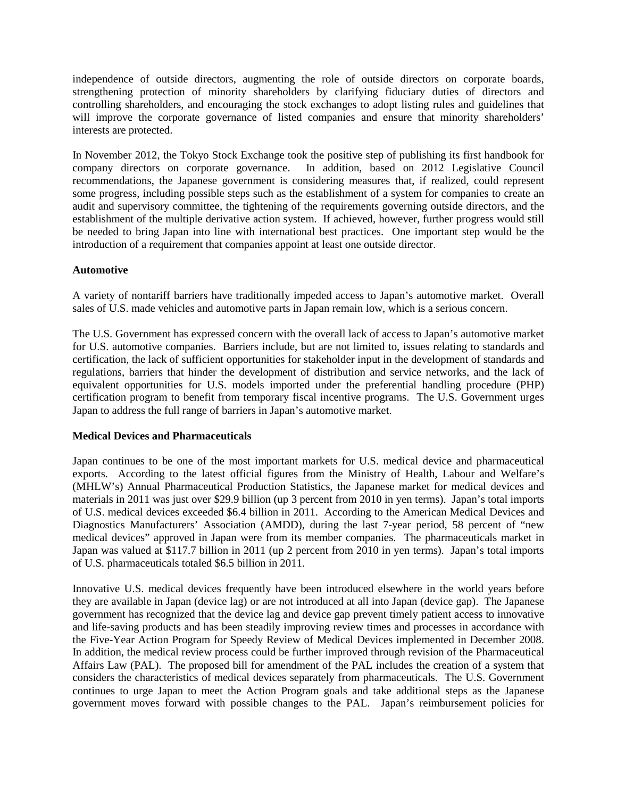independence of outside directors, augmenting the role of outside directors on corporate boards, strengthening protection of minority shareholders by clarifying fiduciary duties of directors and controlling shareholders, and encouraging the stock exchanges to adopt listing rules and guidelines that will improve the corporate governance of listed companies and ensure that minority shareholders' interests are protected.

In November 2012, the Tokyo Stock Exchange took the positive step of publishing its first handbook for company directors on corporate governance. In addition, based on 2012 Legislative Council recommendations, the Japanese government is considering measures that, if realized, could represent some progress, including possible steps such as the establishment of a system for companies to create an audit and supervisory committee, the tightening of the requirements governing outside directors, and the establishment of the multiple derivative action system. If achieved, however, further progress would still be needed to bring Japan into line with international best practices. One important step would be the introduction of a requirement that companies appoint at least one outside director.

## **Automotive**

A variety of nontariff barriers have traditionally impeded access to Japan's automotive market. Overall sales of U.S. made vehicles and automotive parts in Japan remain low, which is a serious concern.

The U.S. Government has expressed concern with the overall lack of access to Japan's automotive market for U.S. automotive companies. Barriers include, but are not limited to, issues relating to standards and certification, the lack of sufficient opportunities for stakeholder input in the development of standards and regulations, barriers that hinder the development of distribution and service networks, and the lack of equivalent opportunities for U.S. models imported under the preferential handling procedure (PHP) certification program to benefit from temporary fiscal incentive programs. The U.S. Government urges Japan to address the full range of barriers in Japan's automotive market.

#### **Medical Devices and Pharmaceuticals**

Japan continues to be one of the most important markets for U.S. medical device and pharmaceutical exports. According to the latest official figures from the Ministry of Health, Labour and Welfare's (MHLW's) Annual Pharmaceutical Production Statistics, the Japanese market for medical devices and materials in 2011 was just over \$29.9 billion (up 3 percent from 2010 in yen terms). Japan's total imports of U.S. medical devices exceeded \$6.4 billion in 2011. According to the American Medical Devices and Diagnostics Manufacturers' Association (AMDD), during the last 7-year period, 58 percent of "new medical devices" approved in Japan were from its member companies. The pharmaceuticals market in Japan was valued at \$117.7 billion in 2011 (up 2 percent from 2010 in yen terms). Japan's total imports of U.S. pharmaceuticals totaled \$6.5 billion in 2011.

Innovative U.S. medical devices frequently have been introduced elsewhere in the world years before they are available in Japan (device lag) or are not introduced at all into Japan (device gap). The Japanese government has recognized that the device lag and device gap prevent timely patient access to innovative and life-saving products and has been steadily improving review times and processes in accordance with the Five-Year Action Program for Speedy Review of Medical Devices implemented in December 2008. In addition, the medical review process could be further improved through revision of the Pharmaceutical Affairs Law (PAL). The proposed bill for amendment of the PAL includes the creation of a system that considers the characteristics of medical devices separately from pharmaceuticals. The U.S. Government continues to urge Japan to meet the Action Program goals and take additional steps as the Japanese government moves forward with possible changes to the PAL. Japan's reimbursement policies for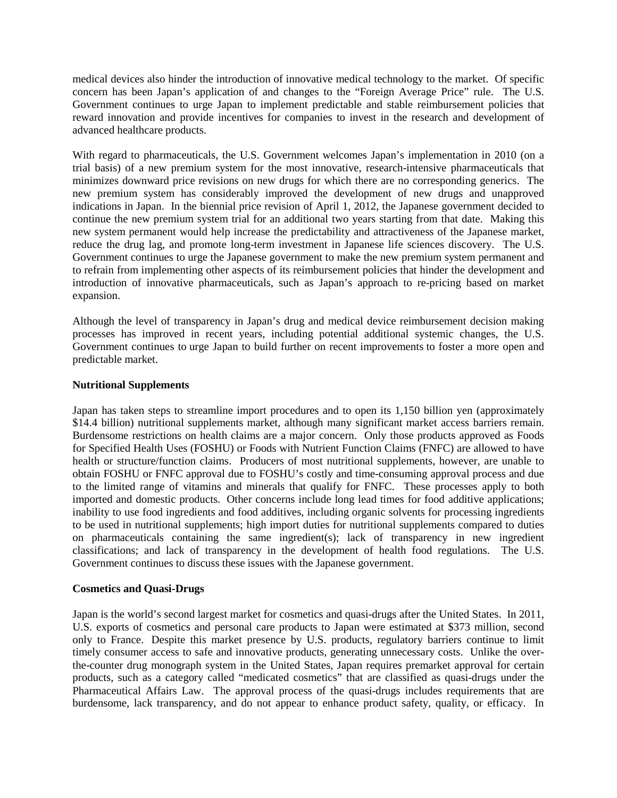medical devices also hinder the introduction of innovative medical technology to the market. Of specific concern has been Japan's application of and changes to the "Foreign Average Price" rule. The U.S. Government continues to urge Japan to implement predictable and stable reimbursement policies that reward innovation and provide incentives for companies to invest in the research and development of advanced healthcare products.

With regard to pharmaceuticals, the U.S. Government welcomes Japan's implementation in 2010 (on a trial basis) of a new premium system for the most innovative, research-intensive pharmaceuticals that minimizes downward price revisions on new drugs for which there are no corresponding generics. The new premium system has considerably improved the development of new drugs and unapproved indications in Japan. In the biennial price revision of April 1, 2012, the Japanese government decided to continue the new premium system trial for an additional two years starting from that date. Making this new system permanent would help increase the predictability and attractiveness of the Japanese market, reduce the drug lag, and promote long-term investment in Japanese life sciences discovery. The U.S. Government continues to urge the Japanese government to make the new premium system permanent and to refrain from implementing other aspects of its reimbursement policies that hinder the development and introduction of innovative pharmaceuticals, such as Japan's approach to re-pricing based on market expansion.

Although the level of transparency in Japan's drug and medical device reimbursement decision making processes has improved in recent years, including potential additional systemic changes, the U.S. Government continues to urge Japan to build further on recent improvements to foster a more open and predictable market.

## **Nutritional Supplements**

Japan has taken steps to streamline import procedures and to open its 1,150 billion yen (approximately \$14.4 billion) nutritional supplements market, although many significant market access barriers remain. Burdensome restrictions on health claims are a major concern. Only those products approved as Foods for Specified Health Uses (FOSHU) or Foods with Nutrient Function Claims (FNFC) are allowed to have health or structure/function claims. Producers of most nutritional supplements, however, are unable to obtain FOSHU or FNFC approval due to FOSHU's costly and time-consuming approval process and due to the limited range of vitamins and minerals that qualify for FNFC. These processes apply to both imported and domestic products. Other concerns include long lead times for food additive applications; inability to use food ingredients and food additives, including organic solvents for processing ingredients to be used in nutritional supplements; high import duties for nutritional supplements compared to duties on pharmaceuticals containing the same ingredient(s); lack of transparency in new ingredient classifications; and lack of transparency in the development of health food regulations. The U.S. Government continues to discuss these issues with the Japanese government.

## **Cosmetics and Quasi-Drugs**

Japan is the world's second largest market for cosmetics and quasi-drugs after the United States. In 2011, U.S. exports of cosmetics and personal care products to Japan were estimated at \$373 million, second only to France. Despite this market presence by U.S. products, regulatory barriers continue to limit timely consumer access to safe and innovative products, generating unnecessary costs. Unlike the overthe-counter drug monograph system in the United States, Japan requires premarket approval for certain products, such as a category called "medicated cosmetics" that are classified as quasi-drugs under the Pharmaceutical Affairs Law. The approval process of the quasi-drugs includes requirements that are burdensome, lack transparency, and do not appear to enhance product safety, quality, or efficacy. In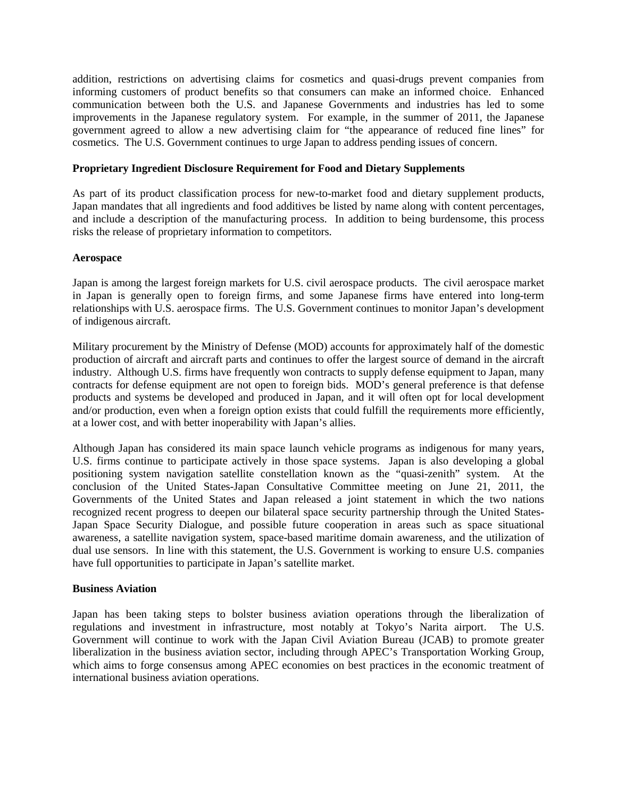addition, restrictions on advertising claims for cosmetics and quasi-drugs prevent companies from informing customers of product benefits so that consumers can make an informed choice. Enhanced communication between both the U.S. and Japanese Governments and industries has led to some improvements in the Japanese regulatory system. For example, in the summer of 2011, the Japanese government agreed to allow a new advertising claim for "the appearance of reduced fine lines" for cosmetics. The U.S. Government continues to urge Japan to address pending issues of concern.

## **Proprietary Ingredient Disclosure Requirement for Food and Dietary Supplements**

As part of its product classification process for new-to-market food and dietary supplement products, Japan mandates that all ingredients and food additives be listed by name along with content percentages, and include a description of the manufacturing process. In addition to being burdensome, this process risks the release of proprietary information to competitors.

## **Aerospace**

Japan is among the largest foreign markets for U.S. civil aerospace products. The civil aerospace market in Japan is generally open to foreign firms, and some Japanese firms have entered into long-term relationships with U.S. aerospace firms. The U.S. Government continues to monitor Japan's development of indigenous aircraft.

Military procurement by the Ministry of Defense (MOD) accounts for approximately half of the domestic production of aircraft and aircraft parts and continues to offer the largest source of demand in the aircraft industry. Although U.S. firms have frequently won contracts to supply defense equipment to Japan, many contracts for defense equipment are not open to foreign bids. MOD's general preference is that defense products and systems be developed and produced in Japan, and it will often opt for local development and/or production, even when a foreign option exists that could fulfill the requirements more efficiently, at a lower cost, and with better inoperability with Japan's allies.

Although Japan has considered its main space launch vehicle programs as indigenous for many years, U.S. firms continue to participate actively in those space systems. Japan is also developing a global positioning system navigation satellite constellation known as the "quasi-zenith" system. At the conclusion of the United States-Japan Consultative Committee meeting on June 21, 2011, the Governments of the United States and Japan released a joint statement in which the two nations recognized recent progress to deepen our bilateral space security partnership through the United States-Japan Space Security Dialogue, and possible future cooperation in areas such as space situational awareness, a satellite navigation system, space-based maritime domain awareness, and the utilization of dual use sensors. In line with this statement, the U.S. Government is working to ensure U.S. companies have full opportunities to participate in Japan's satellite market.

#### **Business Aviation**

Japan has been taking steps to bolster business aviation operations through the liberalization of regulations and investment in infrastructure, most notably at Tokyo's Narita airport. The U.S. Government will continue to work with the Japan Civil Aviation Bureau (JCAB) to promote greater liberalization in the business aviation sector, including through APEC's Transportation Working Group, which aims to forge consensus among APEC economies on best practices in the economic treatment of international business aviation operations.